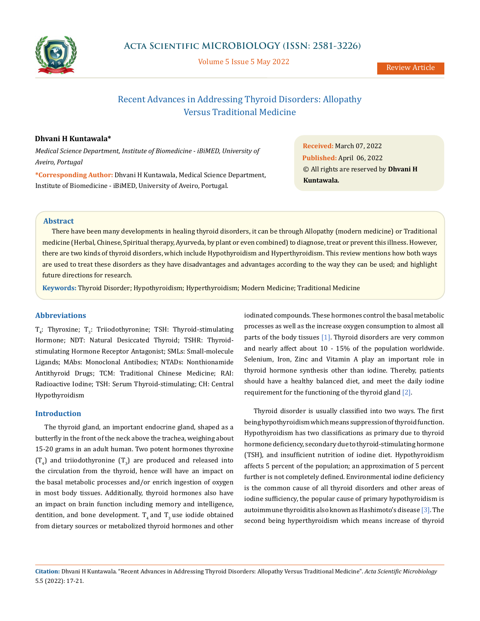

Volume 5 Issue 5 May 2022

# Recent Advances in Addressing Thyroid Disorders: Allopathy Versus Traditional Medicine

# **Dhvani H Kuntawala\***

*Medical Science Department, Institute of Biomedicine - iBiMED, University of Aveiro, Portugal*

**\*Corresponding Author:** Dhvani H Kuntawala, Medical Science Department, Institute of Biomedicine - iBiMED, University of Aveiro, Portugal.

**Received:** March 07, 2022 **Published:** April 06, 2022 © All rights are reserved by **Dhvani H Kuntawala***.*

# **Abstract**

There have been many developments in healing thyroid disorders, it can be through Allopathy (modern medicine) or Traditional medicine (Herbal, Chinese, Spiritual therapy, Ayurveda, by plant or even combined) to diagnose, treat or prevent this illness. However, there are two kinds of thyroid disorders, which include Hypothyroidism and Hyperthyroidism. This review mentions how both ways are used to treat these disorders as they have disadvantages and advantages according to the way they can be used; and highlight future directions for research.

**Keywords:** Thyroid Disorder; Hypothyroidism; Hyperthyroidism; Modern Medicine; Traditional Medicine

# **Abbreviations**

 $T_4$ : Thyroxine;  $T_3$ : Triiodothyronine; TSH: Thyroid-stimulating Hormone; NDT: Natural Desiccated Thyroid; TSHR: Thyroidstimulating Hormone Receptor Antagonist; SMLs: Small-molecule Ligands; MAbs: Monoclonal Antibodies; NTADs: Nonthionamide Antithyroid Drugs; TCM: Traditional Chinese Medicine; RAI: Radioactive Iodine; TSH: Serum Thyroid-stimulating; CH: Central Hypothyroidism

### **Introduction**

The thyroid gland, an important endocrine gland, shaped as a butterfly in the front of the neck above the trachea, weighing about 15-20 grams in an adult human. Two potent hormones thyroxine  $(T_4)$  and triiodothyronine  $(T_3)$  are produced and released into the circulation from the thyroid, hence will have an impact on the basal metabolic processes and/or enrich ingestion of oxygen in most body tissues. Additionally, thyroid hormones also have an impact on brain function including memory and intelligence, dentition, and bone development.  $T<sub>4</sub>$  and  $T<sub>3</sub>$  use iodide obtained from dietary sources or metabolized thyroid hormones and other

iodinated compounds. These hormones control the basal metabolic processes as well as the increase oxygen consumption to almost all parts of the body tissues [1]. Thyroid disorders are very common and nearly affect about 10 - 15% of the population worldwide. Selenium, Iron, Zinc and Vitamin A play an important role in thyroid hormone synthesis other than iodine. Thereby, patients should have a healthy balanced diet, and meet the daily iodine requirement for the functioning of the thyroid gland [2].

Thyroid disorder is usually classified into two ways. The first being hypothyroidism which means suppression of thyroid function. Hypothyroidism has two classifications as primary due to thyroid hormone deficiency, secondary due to thyroid-stimulating hormone (TSH), and insufficient nutrition of iodine diet. Hypothyroidism affects 5 percent of the population; an approximation of 5 percent further is not completely defined. Environmental iodine deficiency is the common cause of all thyroid disorders and other areas of iodine sufficiency, the popular cause of primary hypothyroidism is autoimmune thyroiditis also known as Hashimoto's disease [3]. The second being hyperthyroidism which means increase of thyroid

**Citation:** Dhvani H Kuntawala*.* "Recent Advances in Addressing Thyroid Disorders: Allopathy Versus Traditional Medicine". *Acta Scientific Microbiology*  5.5 (2022): 17-21.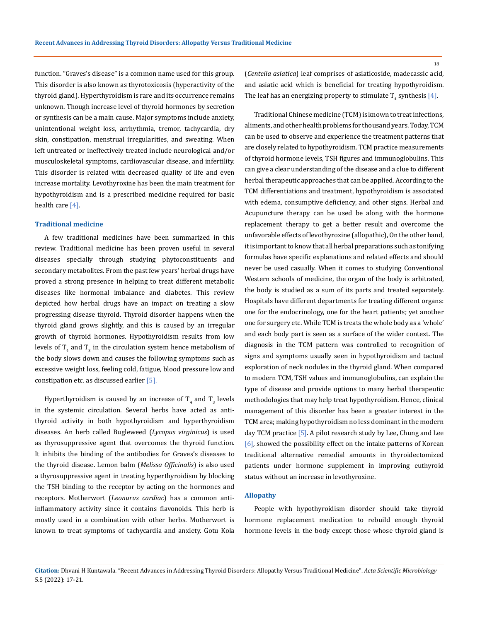function. "Graves's disease" is a common name used for this group. This disorder is also known as thyrotoxicosis (hyperactivity of the thyroid gland). Hyperthyroidism is rare and its occurrence remains unknown. Though increase level of thyroid hormones by secretion or synthesis can be a main cause. Major symptoms include anxiety, unintentional weight loss, arrhythmia, tremor, tachycardia, dry skin, constipation, menstrual irregularities, and sweating. When left untreated or ineffectively treated include neurological and/or musculoskeletal symptoms, cardiovascular disease, and infertility. This disorder is related with decreased quality of life and even increase mortality. Levothyroxine has been the main treatment for hypothyroidism and is a prescribed medicine required for basic health care [4].

### **Traditional medicine**

A few traditional medicines have been summarized in this review. Traditional medicine has been proven useful in several diseases specially through studying phytoconstituents and secondary metabolites. From the past few years' herbal drugs have proved a strong presence in helping to treat different metabolic diseases like hormonal imbalance and diabetes. This review depicted how herbal drugs have an impact on treating a slow progressing disease thyroid. Thyroid disorder happens when the thyroid gland grows slightly, and this is caused by an irregular growth of thyroid hormones. Hypothyroidism results from low levels of  $T_4$  and  $T_3$  in the circulation system hence metabolism of the body slows down and causes the following symptoms such as excessive weight loss, feeling cold, fatigue, blood pressure low and constipation etc. as discussed earlier [5].

Hyperthyroidism is caused by an increase of  $T_4$  and  $T_3$  levels in the systemic circulation. Several herbs have acted as antithyroid activity in both hypothyroidism and hyperthyroidism diseases. An herb called Bugleweed (*Lycopus virginicus*) is used as thyrosuppressive agent that overcomes the thyroid function. It inhibits the binding of the antibodies for Graves's diseases to the thyroid disease. Lemon balm (*Melissa Officinalis*) is also used a thyrosuppressive agent in treating hyperthyroidism by blocking the TSH binding to the receptor by acting on the hormones and receptors. Motherwort (*Leonurus cardiac*) has a common antiinflammatory activity since it contains flavonoids. This herb is mostly used in a combination with other herbs. Motherwort is known to treat symptoms of tachycardia and anxiety. Gotu Kola

(*Centella asiatica*) leaf comprises of asiaticoside, madecassic acid, and asiatic acid which is beneficial for treating hypothyroidism. The leaf has an energizing property to stimulate  $\mathrm{T}_4$  synthesis [4].

Traditional Chinese medicine (TCM) is known to treat infections, aliments, and other health problems for thousand years. Today, TCM can be used to observe and experience the treatment patterns that are closely related to hypothyroidism. TCM practice measurements of thyroid hormone levels, TSH figures and immunoglobulins. This can give a clear understanding of the disease and a clue to different herbal therapeutic approaches that can be applied. According to the TCM differentiations and treatment, hypothyroidism is associated with edema, consumptive deficiency, and other signs. Herbal and Acupuncture therapy can be used be along with the hormone replacement therapy to get a better result and overcome the unfavorable effects of levothyroxine (allopathic), On the other hand, it is important to know that all herbal preparations such as tonifying formulas have specific explanations and related effects and should never be used casually. When it comes to studying Conventional Western schools of medicine, the organ of the body is arbitrated, the body is studied as a sum of its parts and treated separately. Hospitals have different departments for treating different organs: one for the endocrinology, one for the heart patients; yet another one for surgery etc. While TCM is treats the whole body as a 'whole' and each body part is seen as a surface of the wider context. The diagnosis in the TCM pattern was controlled to recognition of signs and symptoms usually seen in hypothyroidism and tactual exploration of neck nodules in the thyroid gland. When compared to modern TCM, TSH values and immunoglobulins, can explain the type of disease and provide options to many herbal therapeutic methodologies that may help treat hypothyroidism. Hence, clinical management of this disorder has been a greater interest in the TCM area; making hypothyroidism no less dominant in the modern day TCM practice [5]. A pilot research study by Lee, Chung and Lee [6], showed the possibility effect on the intake patterns of Korean traditional alternative remedial amounts in thyroidectomized patients under hormone supplement in improving euthyroid status without an increase in levothyroxine.

#### **Allopathy**

People with hypothyroidism disorder should take thyroid hormone replacement medication to rebuild enough thyroid hormone levels in the body except those whose thyroid gland is

18

**Citation:** Dhvani H Kuntawala*.* "Recent Advances in Addressing Thyroid Disorders: Allopathy Versus Traditional Medicine". *Acta Scientific Microbiology*  5.5 (2022): 17-21.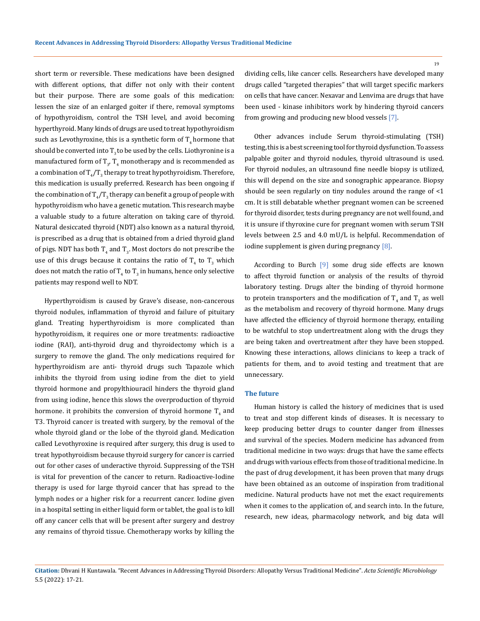short term or reversible. These medications have been designed with different options, that differ not only with their content but their purpose. There are some goals of this medication: lessen the size of an enlarged goiter if there, removal symptoms of hypothyroidism, control the TSH level, and avoid becoming hyperthyroid. Many kinds of drugs are used to treat hypothyroidism such as Levothyroxine, this is a synthetic form of  $T<sub>4</sub>$  hormone that should be converted into  $T<sub>2</sub>$  to be used by the cells. Liothyronine is a manufactured form of  $T_{3'}$ ,  $T_{4}$  monotherapy and is recommended as a combination of  $T_{\rm 4}/T_{\rm 3}$  therapy to treat hypothyroidism. Therefore, this medication is usually preferred. Research has been ongoing if the combination of  $\rm T_4/T_3$  therapy can benefit a group of people with hypothyroidism who have a genetic mutation. This research maybe a valuable study to a future alteration on taking care of thyroid. Natural desiccated thyroid (NDT) also known as a natural thyroid, is prescribed as a drug that is obtained from a dried thyroid gland of pigs. NDT has both  $T_4$  and  $T_3$ . Most doctors do not prescribe the use of this drugs because it contains the ratio of  $T_4$  to  $T_3$  which does not match the ratio of  $T_4$  to  $T_3$  in humans, hence only selective patients may respond well to NDT.

Hyperthyroidism is caused by Grave's disease, non-cancerous thyroid nodules, inflammation of thyroid and failure of pituitary gland. Treating hyperthyroidism is more complicated than hypothyroidism, it requires one or more treatments: radioactive iodine (RAI), anti-thyroid drug and thyroidectomy which is a surgery to remove the gland. The only medications required for hyperthyroidism are anti- thyroid drugs such Tapazole which inhibits the thyroid from using iodine from the diet to yield thyroid hormone and propylthiouracil hinders the thyroid gland from using iodine, hence this slows the overproduction of thyroid hormone. it prohibits the conversion of thyroid hormone  $\rm T^{}_4$  and T3. Thyroid cancer is treated with surgery, by the removal of the whole thyroid gland or the lobe of the thyroid gland. Medication called Levothyroxine is required after surgery, this drug is used to treat hypothyroidism because thyroid surgery for cancer is carried out for other cases of underactive thyroid. Suppressing of the TSH is vital for prevention of the cancer to return. Radioactive-Iodine therapy is used for large thyroid cancer that has spread to the lymph nodes or a higher risk for a recurrent cancer. Iodine given in a hospital setting in either liquid form or tablet, the goal is to kill off any cancer cells that will be present after surgery and destroy any remains of thyroid tissue. Chemotherapy works by killing the

dividing cells, like cancer cells. Researchers have developed many drugs called "targeted therapies" that will target specific markers on cells that have cancer. Nexavar and Lenvima are drugs that have been used - kinase inhibitors work by hindering thyroid cancers from growing and producing new blood vessels [7].

Other advances include Serum thyroid-stimulating (TSH) testing, this is a best screening tool for thyroid dysfunction. To assess palpable goiter and thyroid nodules, thyroid ultrasound is used. For thyroid nodules, an ultrasound fine needle biopsy is utilized, this will depend on the size and sonographic appearance. Biopsy should be seen regularly on tiny nodules around the range of <1 cm. It is still debatable whether pregnant women can be screened for thyroid disorder, tests during pregnancy are not well found, and it is unsure if thyroxine cure for pregnant women with serum TSH levels between 2.5 and 4.0 mU/L is helpful. Recommendation of iodine supplement is given during pregnancy [8].

According to Burch [9] some drug side effects are known to affect thyroid function or analysis of the results of thyroid laboratory testing. Drugs alter the binding of thyroid hormone to protein transporters and the modification of  $T_4$  and  $T_3$  as well as the metabolism and recovery of thyroid hormone. Many drugs have affected the efficiency of thyroid hormone therapy, entailing to be watchful to stop undertreatment along with the drugs they are being taken and overtreatment after they have been stopped. Knowing these interactions, allows clinicians to keep a track of patients for them, and to avoid testing and treatment that are unnecessary.

### **The future**

Human history is called the history of medicines that is used to treat and stop different kinds of diseases. It is necessary to keep producing better drugs to counter danger from illnesses and survival of the species. Modern medicine has advanced from traditional medicine in two ways: drugs that have the same effects and drugs with various effects from those of traditional medicine. In the past of drug development, it has been proven that many drugs have been obtained as an outcome of inspiration from traditional medicine. Natural products have not met the exact requirements when it comes to the application of, and search into. In the future, research, new ideas, pharmacology network, and big data will

19

**Citation:** Dhvani H Kuntawala*.* "Recent Advances in Addressing Thyroid Disorders: Allopathy Versus Traditional Medicine". *Acta Scientific Microbiology*  5.5 (2022): 17-21.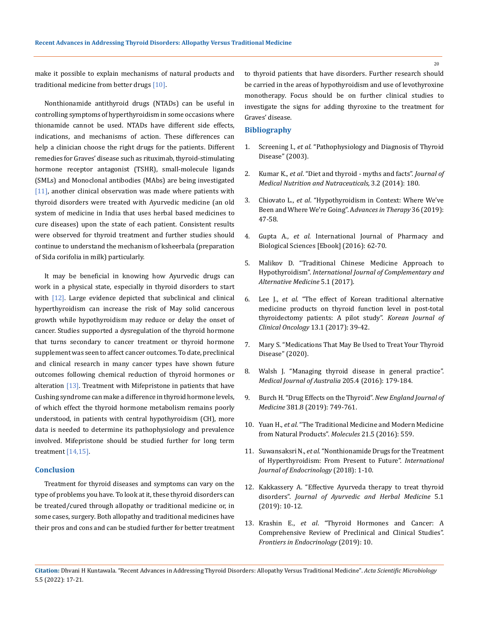20

make it possible to explain mechanisms of natural products and traditional medicine from better drugs [10].

Nonthionamide antithyroid drugs (NTADs) can be useful in controlling symptoms of hyperthyroidism in some occasions where thionamide cannot be used. NTADs have different side effects, indications, and mechanisms of action. These differences can help a clinician choose the right drugs for the patients. Different remedies for Graves' disease such as rituximab, thyroid-stimulating hormone receptor antagonist (TSHR), small-molecule ligands (SMLs) and Monoclonal antibodies (MAbs) are being investigated [11], another clinical observation was made where patients with thyroid disorders were treated with Ayurvedic medicine (an old system of medicine in India that uses herbal based medicines to cure diseases) upon the state of each patient. Consistent results were observed for thyroid treatment and further studies should continue to understand the mechanism of ksheerbala (preparation of Sida corifolia in milk) particularly.

It may be beneficial in knowing how Ayurvedic drugs can work in a physical state, especially in thyroid disorders to start with  $[12]$ . Large evidence depicted that subclinical and clinical hyperthyroidism can increase the risk of May solid cancerous growth while hypothyroidism may reduce or delay the onset of cancer. Studies supported a dysregulation of the thyroid hormone that turns secondary to cancer treatment or thyroid hormone supplement was seen to affect cancer outcomes. To date, preclinical and clinical research in many cancer types have shown future outcomes following chemical reduction of thyroid hormones or alteration [13]. Treatment with Mifepristone in patients that have Cushing syndrome can make a difference in thyroid hormone levels, of which effect the thyroid hormone metabolism remains poorly understood, in patients with central hypothyroidism (CH), more data is needed to determine its pathophysiology and prevalence involved. Mifepristone should be studied further for long term treatment [14,15].

## **Conclusion**

Treatment for thyroid diseases and symptoms can vary on the type of problems you have. To look at it, these thyroid disorders can be treated/cured through allopathy or traditional medicine or, in some cases, surgery. Both allopathy and traditional medicines have their pros and cons and can be studied further for better treatment to thyroid patients that have disorders. Further research should be carried in the areas of hypothyroidism and use of levothyroxine monotherapy. Focus should be on further clinical studies to investigate the signs for adding thyroxine to the treatment for Graves' disease.

### **Bibliography**

- 1. Screening I., *et al*[. "Pathophysiology and Diagnosis of Thyroid](https://www.ncbi.nlm.nih.gov/books/NBK221541/)  [Disease" \(2003\).](https://www.ncbi.nlm.nih.gov/books/NBK221541/)
- 2. Kumar K., *et al*[. "Diet and thyroid myths and facts".](https://www.jmnn.org/article.asp?issn=2278-1870;year=2014;volume=3;issue=2;spage=60;epage=65;aulast=Sharma;aid=JMedNutrNutraceut_2014_3_2_60_131954amp/) *Journal of [Medical Nutrition and Nutraceuticals,](https://www.jmnn.org/article.asp?issn=2278-1870;year=2014;volume=3;issue=2;spage=60;epage=65;aulast=Sharma;aid=JMedNutrNutraceut_2014_3_2_60_131954amp/)* 3.2 (2014): 180.
- 3. Chiovato L., *et al*[. "Hypothyroidism in Context: Where We've](https://doi.org/10.1007/s12325-019-01080-8)  [Been and Where We're Going". A](https://doi.org/10.1007/s12325-019-01080-8)*dvances in Therapy* 36 (2019): [47-58.](https://doi.org/10.1007/s12325-019-01080-8)
- 4. Gupta A., *et al*[. International Journal of Pharmacy and](https://www.researchgate.net/publication/301888687_herbal_drugs_for_thyroidpdf)  [Biological Sciences \[Ebook\] \(2016\): 62-70.](https://www.researchgate.net/publication/301888687_herbal_drugs_for_thyroidpdf)
- 5. [Malikov D. "Traditional Chinese Medicine Approach to](https://medcraveonline.com/IJCAM/traditional-chinese-medicine-approach-to-hypothyroidism.html)  Hypothyroidism". *[International Journal of Complementary and](https://medcraveonline.com/IJCAM/traditional-chinese-medicine-approach-to-hypothyroidism.html)  [Alternative Medicine](https://medcraveonline.com/IJCAM/traditional-chinese-medicine-approach-to-hypothyroidism.html)* 5.1 (2017).
- 6. Lee J., *et al*[. "The effect of Korean traditional alternative](https://www.researchgate.net/publication/318292666_The_effect_of_Korean_traditional_alternative_medicine_products_on_thyroid_function_level_in_post-total_thyroidectomy_patients_A_pilot_study)  [medicine products on thyroid function level in post-total](https://www.researchgate.net/publication/318292666_The_effect_of_Korean_traditional_alternative_medicine_products_on_thyroid_function_level_in_post-total_thyroidectomy_patients_A_pilot_study)  [thyroidectomy patients: A pilot study".](https://www.researchgate.net/publication/318292666_The_effect_of_Korean_traditional_alternative_medicine_products_on_thyroid_function_level_in_post-total_thyroidectomy_patients_A_pilot_study) *Korean Journal of [Clinical Oncology](https://www.researchgate.net/publication/318292666_The_effect_of_Korean_traditional_alternative_medicine_products_on_thyroid_function_level_in_post-total_thyroidectomy_patients_A_pilot_study)* 13.1 (2017): 39-42.
- 7. [Mary S. "Medications That May Be Used to Treat Your Thyroid](https://www.verywellhealth.com/thyroid-disease-medications-3231845)  [Disease" \(2020\).](https://www.verywellhealth.com/thyroid-disease-medications-3231845)
- 8. [Walsh J. "Managing thyroid disease in general practice".](https://onlinelibrary.wiley.com/doi/abs/10.5694/mja16.00545)  *[Medical Journal of Australia](https://onlinelibrary.wiley.com/doi/abs/10.5694/mja16.00545)* 205.4 (2016): 179-184.
- 9. [Burch H. "Drug Effects on the Thyroid".](https://www.nejm.org/doi/full/10.1056/NEJMra1901214) *New England Journal of Medicine* [381.8 \(2019\): 749-761.](https://www.nejm.org/doi/full/10.1056/NEJMra1901214)
- 10. Yuan H., *et al*[. "The Traditional Medicine and Modern Medicine](https://www.mdpi.com/1420-3049/21/5/559)  [from Natural Products".](https://www.mdpi.com/1420-3049/21/5/559) *Molecules* 21.5 (2016): 559.
- 11. Suwansaksri N., *et al*[. "Nonthionamide Drugs for the Treatment](https://www.hindawi.com/journals/ije/2018/5794054/)  [of Hyperthyroidism: From Present to Future".](https://www.hindawi.com/journals/ije/2018/5794054/) *International [Journal of Endocrinology](https://www.hindawi.com/journals/ije/2018/5794054/)* (2018): 1-10.
- 12. [Kakkassery A. "Effective Ayurveda therapy to treat thyroid](http://www.ayurvedjournal.com/Volume5issue1.html)  disorders". *[Journal of Ayurvedic and Herbal Medicine](http://www.ayurvedjournal.com/Volume5issue1.html)* 5.1 [\(2019\): 10-12.](http://www.ayurvedjournal.com/Volume5issue1.html)
- 13. Krashin E., *et al*[. "Thyroid Hormones and Cancer: A](https://www.frontiersin.org/articles/10.3389/fendo.2019.00059/full)  [Comprehensive Review of Preclinical and Clinical Studies".](https://www.frontiersin.org/articles/10.3389/fendo.2019.00059/full)  *[Frontiers in Endocrinology](https://www.frontiersin.org/articles/10.3389/fendo.2019.00059/full)* (2019): 10.

**Citation:** Dhvani H Kuntawala*.* "Recent Advances in Addressing Thyroid Disorders: Allopathy Versus Traditional Medicine". *Acta Scientific Microbiology*  5.5 (2022): 17-21.